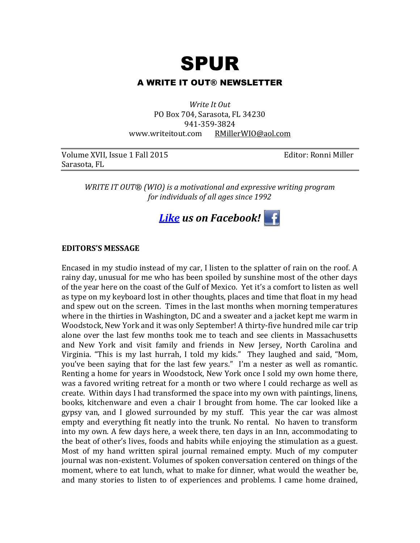

# A WRITE IT OUT® NEWSLETTER

*Write It Out* PO Box 704, Sarasota, FL 34230 941-359-3824 www.writeitout.com [RMillerWIO@aol.com](mailto:RMillerWIO@aol.com)

| Volume XVII, Issue 1 Fall 2019 |  |
|--------------------------------|--|
| Sarasota, FL                   |  |

5 Editor: Ronni Miller

*WRITE IT OUT® (WIO) is a motivational and expressive writing program for individuals of all ages since 1992*



#### **EDITORS'S MESSAGE**

Encased in my studio instead of my car, I listen to the splatter of rain on the roof. A rainy day, unusual for me who has been spoiled by sunshine most of the other days of the year here on the coast of the Gulf of Mexico. Yet it's a comfort to listen as well as type on my keyboard lost in other thoughts, places and time that float in my head and spew out on the screen. Times in the last months when morning temperatures where in the thirties in Washington, DC and a sweater and a jacket kept me warm in Woodstock, New York and it was only September! A thirty-five hundred mile car trip alone over the last few months took me to teach and see clients in Massachusetts and New York and visit family and friends in New Jersey, North Carolina and Virginia. "This is my last hurrah, I told my kids." They laughed and said, "Mom, you've been saying that for the last few years." I'm a nester as well as romantic. Renting a home for years in Woodstock, New York once I sold my own home there, was a favored writing retreat for a month or two where I could recharge as well as create. Within days I had transformed the space into my own with paintings, linens, books, kitchenware and even a chair I brought from home. The car looked like a gypsy van, and I glowed surrounded by my stuff. This year the car was almost empty and everything fit neatly into the trunk. No rental. No haven to transform into my own. A few days here, a week there, ten days in an Inn, accommodating to the beat of other's lives, foods and habits while enjoying the stimulation as a guest. Most of my hand written spiral journal remained empty. Much of my computer journal was non-existent. Volumes of spoken conversation centered on things of the moment, where to eat lunch, what to make for dinner, what would the weather be, and many stories to listen to of experiences and problems. I came home drained,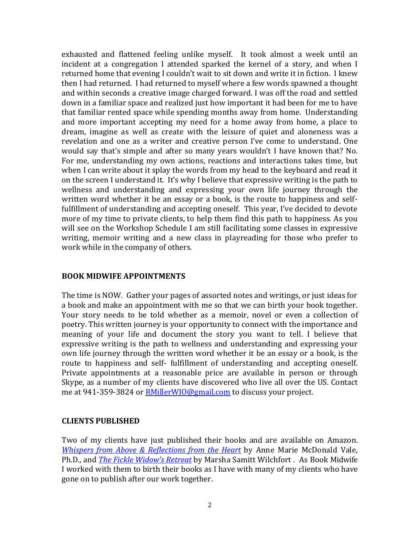exhausted and flattened feeling unlike myself. It took almost a week until an incident at a congregation I attended sparked the kernel of a story, and when I returned home that evening I couldn't wait to sit down and write it in fiction. I knew then I had returned. I had returned to myself where a few words spawned a thought and within seconds a creative image charged forward. I was off the road and settled down in a familiar space and realized just how important it had been for me to have that familiar rented space while spending months away from home. Understanding and more important accepting my need for a home away from home, a place to dream, imagine as well as create with the leisure of quiet and aloneness was a revelation and one as a writer and creative person I've come to understand. One would say that's simple and after so many years wouldn't I have known that? No. For me, understanding my own actions, reactions and interactions takes time, but when I can write about it splay the words from my head to the keyboard and read it on the screen I understand it. It's why I believe that expressive writing is the path to wellness and understanding and expressing your own life journey through the written word whether it be an essay or a book, is the route to happiness and selffulfillment of understanding and accepting oneself. This year, I've decided to devote more of my time to private clients, to help them find this path to happiness. As you will see on the Workshop Schedule I am still facilitating some classes in expressive writing, memoir writing and a new class in playreading for those who prefer to work while in the company of others.

## **BOOK MIDWIFE APPOINTMENTS**

The time is NOW. Gather your pages of assorted notes and writings, or just ideas for a book and make an appointment with me so that we can birth your book together. Your story needs to be told whether as a memoir, novel or even a collection of poetry. This written journey is your opportunity to connect with the importance and meaning of your life and document the story you want to tell. I believe that expressive writing is the path to wellness and understanding and expressing your own life journey through the written word whether it be an essay or a book, is the route to happiness and self- fulfillment of understanding and accepting oneself. Private appointments at a reasonable price are available in person or through Skype, as a number of my clients have discovered who live all over the US. Contact me at 941-359-3824 or **RMillerWIO@gmail.com** to discuss your project.

## **CLIENTS PUBLISHED**

Two of my clients have just published their books and are available on Amazon. *[Whispers from Above & Reflections from the Heart](http://www.amazon.com/Whispers-Above-Reflections-Heart-McDonnell/dp/0692552030)* by Anne Marie McDonald Vale, Ph.D., and *[The Fickle Widow's Retreat](http://www.amazon.co.uk/Fickle-Widows-Retreat-Marsha-Wilchfort/dp/0996197303)* by Marsha Samitt Wilchfort . As Book Midwife I worked with them to birth their books as I have with many of my clients who have gone on to publish after our work together.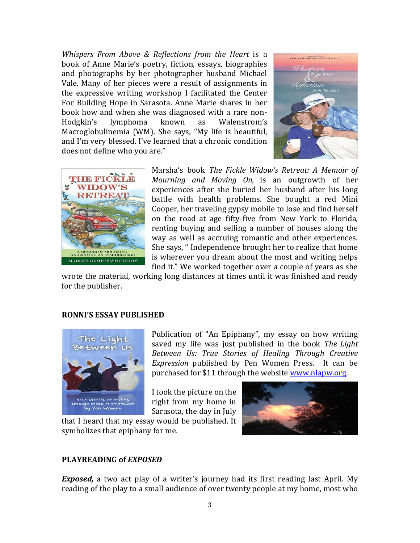*Whispers From Above & Reflections from the Heart* is a book of Anne Marie's poetry, fiction, essays, biographies and photographs by her photographer husband Michael Vale. Many of her pieces were a result of assignments in the expressive writing workshop I facilitated the Center For Building Hope in Sarasota. Anne Marie shares in her book how and when she was diagnosed with a rare non-Hodgkin's lymphoma known as Walenstrom's Macroglobulinemia (WM). She says, "My life is beautiful, and I'm very blessed. I've learned that a chronic condition does not define who you are."





Marsha's book *The Fickle Widow's Retreat: A Memoir of Mourning and Moving On,* is an outgrowth of her experiences after she buried her husband after his long battle with health problems. She bought a red Mini Cooper, her traveling gypsy mobile to lose and find herself on the road at age fifty-five from New York to Florida, renting buying and selling a number of houses along the way as well as accruing romantic and other experiences. She says, " Independence brought her to realize that home is wherever you dream about the most and writing helps find it." We worked together over a couple of years as she

wrote the material, working long distances at times until it was finished and ready for the publisher.

#### **RONNI'S ESSAY PUBLISHED**



Publication of "An Epiphany", my essay on how writing saved my life was just published in the book *The Light Between Us: True Stories of Healing Through Creative Expression* published by Pen Women Press. It can be purchased for \$11 through the website [www.nlapw.org.](http://www.nlapw.org/)

I took the picture on the right from my home in Sarasota, the day in July

that I heard that my essay would be published. It symbolizes that epiphany for me.



#### **PLAYREADING of** *EXPOSED*

*Exposed,* a two act play of a writer's journey had its first reading last April. My reading of the play to a small audience of over twenty people at my home, most who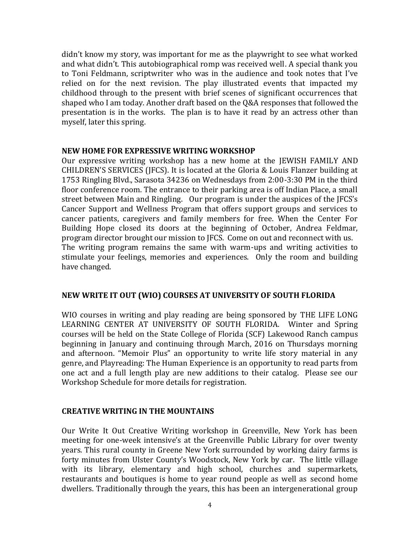didn't know my story, was important for me as the playwright to see what worked and what didn't. This autobiographical romp was received well. A special thank you to Toni Feldmann, scriptwriter who was in the audience and took notes that I've relied on for the next revision. The play illustrated events that impacted my childhood through to the present with brief scenes of significant occurrences that shaped who I am today. Another draft based on the Q&A responses that followed the presentation is in the works. The plan is to have it read by an actress other than myself, later this spring.

## **NEW HOME FOR EXPRESSIVE WRITING WORKSHOP**

Our expressive writing workshop has a new home at the JEWISH FAMILY AND CHILDREN'S SERVICES (JFCS). It is located at the Gloria & Louis Flanzer building at 1753 Ringling Blvd., Sarasota 34236 on Wednesdays from 2:00-3:30 PM in the third floor conference room. The entrance to their parking area is off Indian Place, a small street between Main and Ringling. Our program is under the auspices of the JFCS's Cancer Support and Wellness Program that offers support groups and services to cancer patients, caregivers and family members for free. When the Center For Building Hope closed its doors at the beginning of October, Andrea Feldmar, program director brought our mission to JFCS. Come on out and reconnect with us. The writing program remains the same with warm-ups and writing activities to stimulate your feelings, memories and experiences. Only the room and building have changed.

## **NEW WRITE IT OUT (WIO) COURSES AT UNIVERSITY OF SOUTH FLORIDA**

WIO courses in writing and play reading are being sponsored by THE LIFE LONG LEARNING CENTER AT UNIVERSITY OF SOUTH FLORIDA. Winter and Spring courses will be held on the State College of Florida (SCF) Lakewood Ranch campus beginning in January and continuing through March, 2016 on Thursdays morning and afternoon. "Memoir Plus" an opportunity to write life story material in any genre, and Playreading: The Human Experience is an opportunity to read parts from one act and a full length play are new additions to their catalog. Please see our Workshop Schedule for more details for registration.

## **CREATIVE WRITING IN THE MOUNTAINS**

Our Write It Out Creative Writing workshop in Greenville, New York has been meeting for one-week intensive's at the Greenville Public Library for over twenty years. This rural county in Greene New York surrounded by working dairy farms is forty minutes from Ulster County's Woodstock, New York by car. The little village with its library, elementary and high school, churches and supermarkets, restaurants and boutiques is home to year round people as well as second home dwellers. Traditionally through the years, this has been an intergenerational group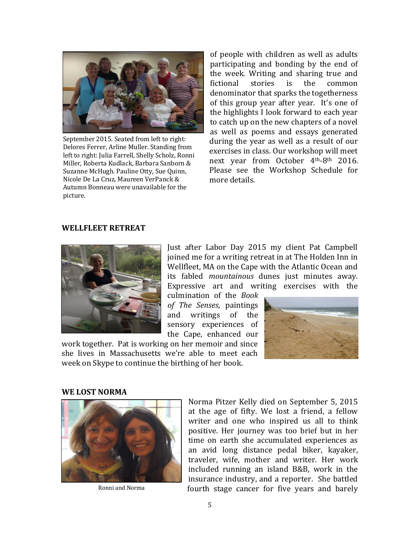

September 2015. Seated from left to right: Delores Ferrer, Arline Muller. Standing from left to right: Julia Farrell, Shelly Scholz, Ronni Miller, Roberta Kudlack, Barbara Sanborn & Suzanne McHugh. Pauline Otty, Sue Quinn, Nicole De La Cruz, Maureen VerPanck & Autumn Bonneau were unavailable for the picture.

of people with children as well as adults participating and bonding by the end of the week. Writing and sharing true and fictional stories is the common denominator that sparks the togetherness of this group year after year. It's one of the highlights I look forward to each year to catch up on the new chapters of a novel as well as poems and essays generated during the year as well as a result of our exercises in class. Our workshop will meet next year from October 4th-8th 2016. Please see the Workshop Schedule for more details.

#### **WELLFLEET RETREAT**



Just after Labor Day 2015 my client Pat Campbell joined me for a writing retreat in at The Holden Inn in Wellfleet, MA on the Cape with the Atlantic Ocean and its fabled *mountainous* dunes just minutes away. Expressive art and writing exercises with the

culmination of the *Book of The Senses*, paintings and writings of the sensory experiences of the Cape, enhanced our

work together. Pat is working on her memoir and since she lives in Massachusetts we're able to meet each week on Skype to continue the birthing of her book.



## **WE LOST NORMA**



Ronni and Norma

Norma Pitzer Kelly died on September 5, 2015 at the age of fifty. We lost a friend, a fellow writer and one who inspired us all to think positive. Her journey was too brief but in her time on earth she accumulated experiences as an avid long distance pedal biker, kayaker, traveler, wife, mother and writer. Her work included running an island B&B, work in the insurance industry, and a reporter. She battled fourth stage cancer for five years and barely